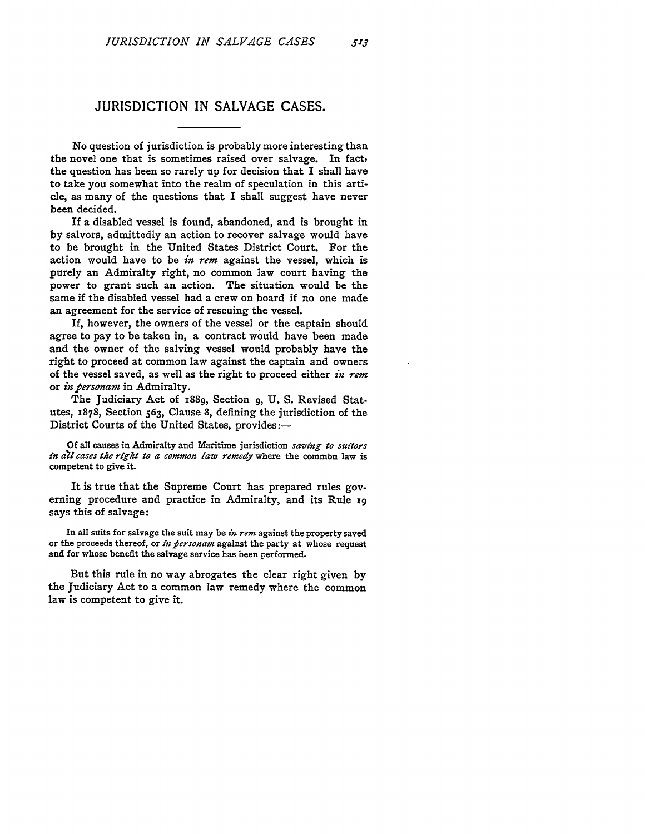## **JURISDICTION IN SALVAGE CASES.**

No question of jurisdiction is probably more interesting than the novel one that is sometimes raised over salvage. In fact, the question has been so rarely up for decision that I shall have to take you somewhat into the realm of speculation in this article, as many of the questions that I shall suggest have never been decided.

If a disabled vessel is found, abandoned, and is brought in by salvors, admittedly an action to recover salvage would have to be brought in the United States District Court. For the action would have to be *in rem* against the vessel, which is purely an Admiralty right, no common law court having the power to grant such an action. The situation would be the same if the disabled vessel had a crew on board if no one made an agreement for the service of rescuing the vessel.

If, however, the owners of the vessel or the captain should agree to pay to be taken in, a contract would have been made and the owner of the salving vessel would probably have the right to proceed at common law against the captain and owners of the vessel saved, as well as the right to proceed either *in rem* or *in personam* in Admiralty.

The Judiciary Act of **1889,** Section **9, U. S.** Revised Statutes, 1878, Section 563, Clause 8, defining the jurisdiction of the District Courts of the United States, provides:-

Of **all** causes in Admiralty and Maritime jurisdiction *saving to suitors* in all cases the right to a common law remedy where the common law is competent to give **it.**

It is true that the Supreme Court has prepared rules governing procedure and practice in Admiralty, and its Rule **x9** says this of salvage:

In all suits for salvage the suit may be in rem against the property saved or **the** proceeds thereof, or *in fiersonam* against the party at whose request and for whose benefit the salvage service has been performed.

But this rule in no way abrogates the clear right given **by** the Judiciary Act to a common law remedy where the common law is competent to give it.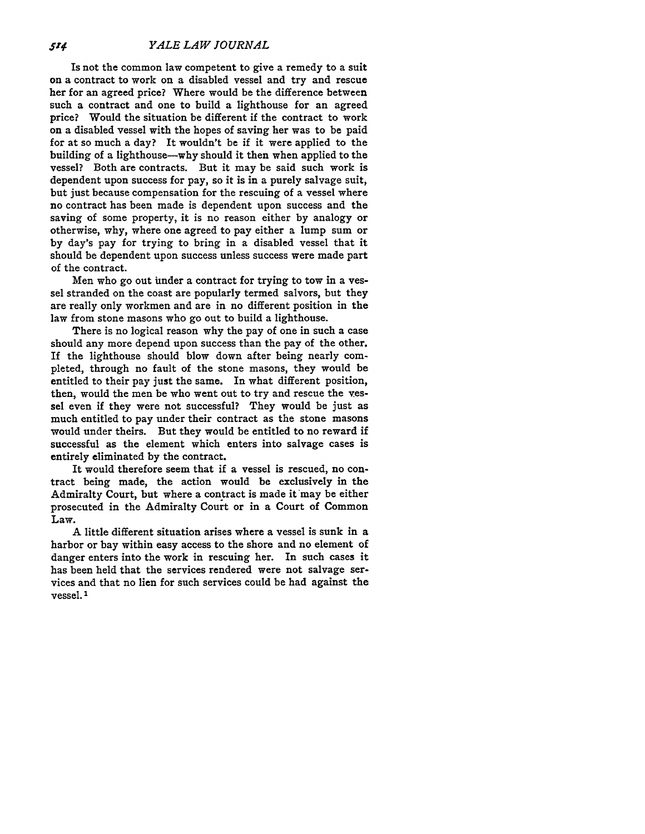Is not the common law competent to give a remedy to a suit on a contract to work on a disabled vessel and try and rescue her for an agreed price? Where would be the difference between such a contract and one to build a lighthouse for an agreed price? Would the situation be different if the contract to work on a disabled vessel with the hopes of saving her was to be paid for at so much a day? It wouldn't be if it were applied to the building of a lighthouse-why should it then when applied to the vessel? Both are contracts. But it may be said such work is dependent upon success for pay, so it is in a purely salvage suit, but just because compensation for the rescuing of a vessel where no contract has been made is dependent upon success and the saving of some property, it is no reason either by analogy or otherwise, why, where one agreed to pay either a lump sum or **by** day's pay for trying to bring in a disabled vessel that it should be dependent upon success unless success were made part of the contract.

Men who go out inder a contract for trying to tow in a vessel stranded on the coast are popularly termed salvors, but they are really only workmen and are in no different position in the law from stone masons who go out to build a lighthouse.

There is no logical reason why the pay of one in such a case should any more depend upon success than the pay of the other. If the lighthouse should blow down after being nearly completed, through no fault of the stone masons, they would be entitled to their pay just the same. In what different position, then, would the men be who went out to try and rescue the vessel even if they were not successful? They would be just as much entitled to pay under their contract as the stone masons would under theirs. But they would be entitled to no reward if successful as the element which enters into salvage cases is entirely eliminated by the contract.

It would therefore seem that if a vessel is rescued, no contract being made, the action would be exclusively in the Admiralty Court, but where a contract is made it may be either prosecuted in the Admiralty Court or in a Court of Common Law.

**A** little different situation arises where a vessel is sunk in a harbor or bay within easy access to the shore and no element of danger enters into the work in rescuing her. In such cases it has been held that the services rendered were not salvage services and that no lien for such services could be had against the vessel. **I**